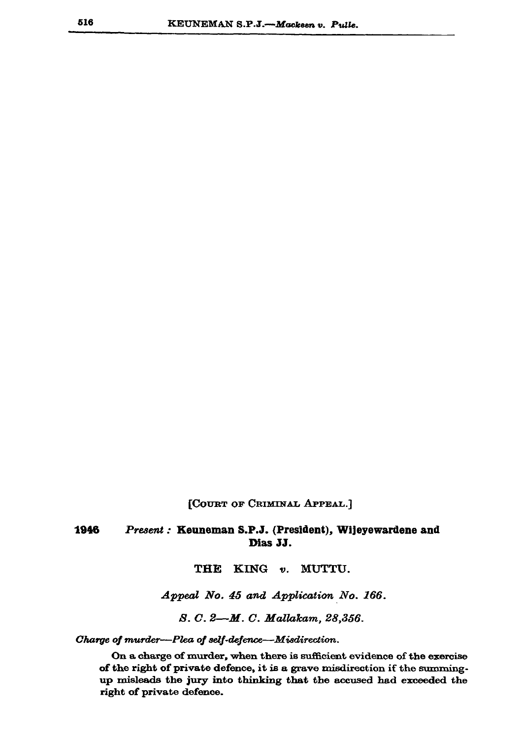[COURT OF CRIMINAL APPEAL.]

## 1946 Present: Keuneman S.P.J. (President), Wijeyewardene and Dias JJ.

THE KING v. MUTTU.

Appeal No. 45 and Application No. 166.

S. C. 2-M. C. Mallakam, 28,356.

Charge of murder--Plea of self-defence--Misdirection.

On a charge of murder, when there is sufficient evidence of the exercise of the right of private defence, it is a grave misdirection if the summingup misleads the jury into thinking that the accused had exceeded the right of private defence.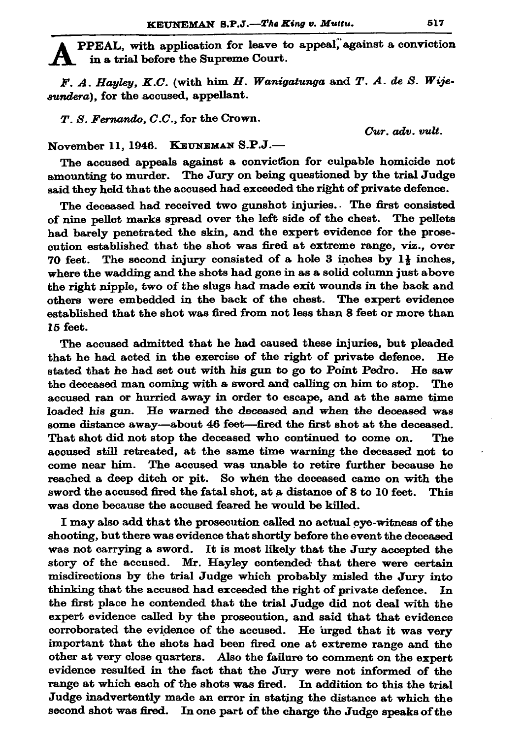PPEAL, with application for leave to appeal, against a conviction in a trial before the Supreme Court.

F. A. Hayley, K.C. (with him H. Wanigatunga and T. A. de S. Wijesundera), for the accused, appellant.

 $T. S.$  Fernando,  $C.C.$ , for the Crown.

Cur. adv. vult.

November 11, 1946. KEUNEMAN S.P.J.-

The accused appeals against a conviction for culpable homicide not amounting to murder. The Jury on being questioned by the trial Judge said they held that the accused had exceeded the right of private defence.

The deceased had received two gunshot injuries. The first consisted of nine pellet marks spread over the left side of the chest. The pellets had barely penetrated the skin, and the expert evidence for the prosecution established that the shot was fired at extreme range, viz., over The second injury consisted of a hole 3 inches by 1} inches, 70 feet. where the wadding and the shots had gone in as a solid column just above the right nipple, two of the slugs had made exit wounds in the back and others were embedded in the back of the chest. The expert evidence established that the shot was fired from not less than 8 feet or more than 15 feet.

The accused admitted that he had caused these injuries, but pleaded that he had acted in the exercise of the right of private defence. He stated that he had set out with his gun to go to Point Pedro. He saw the deceased man coming with a sword and calling on him to stop. The accused ran or hurried away in order to escape, and at the same time loaded his gun. He warned the deceased and when the deceased was some distance away—about 46 feet—fired the first shot at the deceased. That shot did not stop the deceased who continued to come on. The accused still retreated, at the same time warning the deceased not to come near him. The accused was unable to retire further because he reached a deep ditch or pit. So when the deceased came on with the sword the accused fired the fatal shot, at a distance of 8 to 10 feet. This was done because the accused feared he would be killed.

I may also add that the prosecution called no actual eye-witness of the shooting, but there was evidence that shortly before the event the deceased was not carrying a sword. It is most likely that the Jury accepted the story of the accused. Mr. Hayley contended that there were certain misdirections by the trial Judge which probably misled the Jury into thinking that the accused had exceeded the right of private defence. In the first place he contended that the trial Judge did not deal with the expert evidence called by the prosecution, and said that that evidence corroborated the evidence of the accused. He urged that it was very important that the shots had been fired one at extreme range and the other at very close quarters. Also the failure to comment on the expert evidence resulted in the fact that the Jury were not informed of the range at which each of the shots was fired. In addition to this the trial Judge inadvertently made an error in stating the distance at which the second shot was fired. In one part of the charge the Judge speaks of the